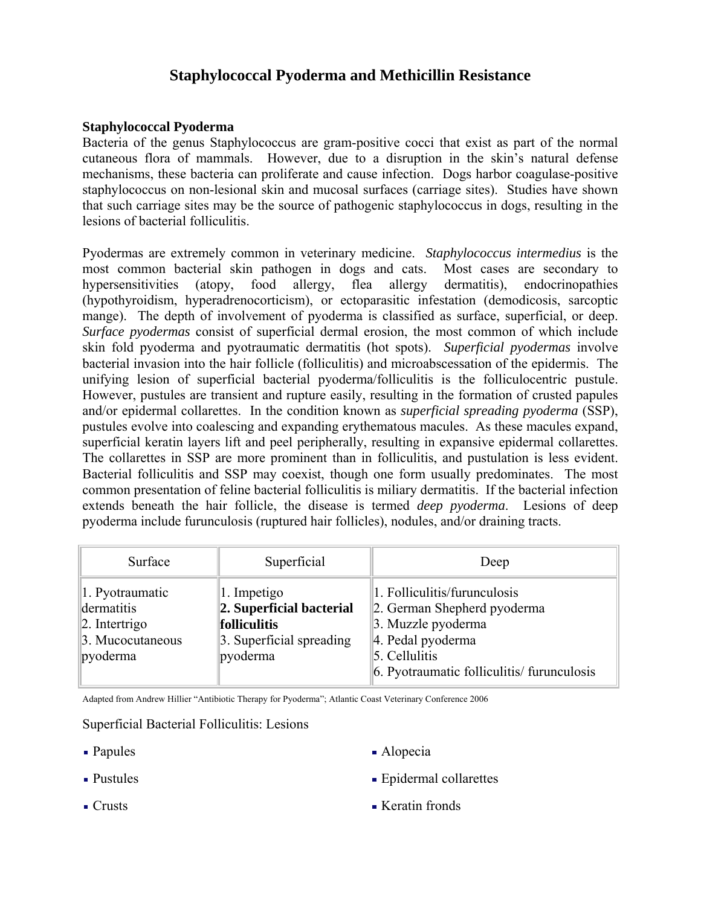# **Staphylococcal Pyoderma and Methicillin Resistance**

### **Staphylococcal Pyoderma**

Bacteria of the genus Staphylococcus are gram-positive cocci that exist as part of the normal cutaneous flora of mammals. However, due to a disruption in the skin's natural defense mechanisms, these bacteria can proliferate and cause infection. Dogs harbor coagulase-positive staphylococcus on non-lesional skin and mucosal surfaces (carriage sites). Studies have shown that such carriage sites may be the source of pathogenic staphylococcus in dogs, resulting in the lesions of bacterial folliculitis.

Pyodermas are extremely common in veterinary medicine. *Staphylococcus intermedius* is the most common bacterial skin pathogen in dogs and cats. Most cases are secondary to hypersensitivities (atopy, food allergy, flea allergy dermatitis), endocrinopathies (hypothyroidism, hyperadrenocorticism), or ectoparasitic infestation (demodicosis, sarcoptic mange). The depth of involvement of pyoderma is classified as surface, superficial, or deep. *Surface pyodermas* consist of superficial dermal erosion, the most common of which include skin fold pyoderma and pyotraumatic dermatitis (hot spots). *Superficial pyodermas* involve bacterial invasion into the hair follicle (folliculitis) and microabscessation of the epidermis. The unifying lesion of superficial bacterial pyoderma/folliculitis is the folliculocentric pustule. However, pustules are transient and rupture easily, resulting in the formation of crusted papules and/or epidermal collarettes. In the condition known as *superficial spreading pyoderma* (SSP), pustules evolve into coalescing and expanding erythematous macules. As these macules expand, superficial keratin layers lift and peel peripherally, resulting in expansive epidermal collarettes. The collarettes in SSP are more prominent than in folliculitis, and pustulation is less evident. Bacterial folliculitis and SSP may coexist, though one form usually predominates. The most common presentation of feline bacterial folliculitis is miliary dermatitis. If the bacterial infection extends beneath the hair follicle, the disease is termed *deep pyoderma*. Lesions of deep pyoderma include furunculosis (ruptured hair follicles), nodules, and/or draining tracts.

| Surface                                                                                     | Superficial                                                                                            | Deep                                                                                                                                                                  |
|---------------------------------------------------------------------------------------------|--------------------------------------------------------------------------------------------------------|-----------------------------------------------------------------------------------------------------------------------------------------------------------------------|
| 1. Pyotraumatic<br>dermatitis<br>$\vert$ 2. Intertrigo<br>3. Mucocutaneous<br>$\ $ pyoderma | 1. Impetigo<br>2. Superficial bacterial<br><b>folliculitis</b><br>3. Superficial spreading<br>pyoderma | 1. Folliculitis/furunculosis<br>2. German Shepherd pyoderma<br>3. Muzzle pyoderma<br>4. Pedal pyoderma<br>5. Cellulitis<br>6. Pyotraumatic folliculitis/ furunculosis |

Adapted from Andrew Hillier "Antibiotic Therapy for Pyoderma"; Atlantic Coast Veterinary Conference 2006

#### Superficial Bacterial Folliculitis: Lesions

- 
- 
- Papules Alopecia
- Pustules **Exercise Exercise Exercise Exercise Exercise Exercise Exercise Exercise Exercise Exercise Exercise**
- Crusts Keratin fronds
-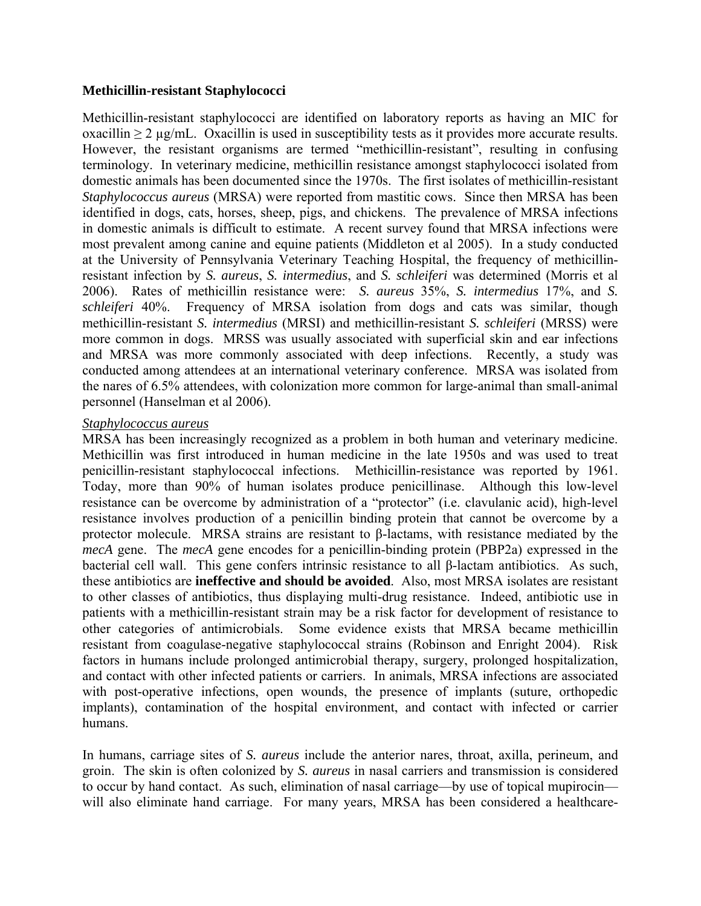### **Methicillin-resistant Staphylococci**

Methicillin-resistant staphylococci are identified on laboratory reports as having an MIC for oxacillin  $\geq 2$  µg/mL. Oxacillin is used in susceptibility tests as it provides more accurate results. However, the resistant organisms are termed "methicillin-resistant", resulting in confusing terminology. In veterinary medicine, methicillin resistance amongst staphylococci isolated from domestic animals has been documented since the 1970s. The first isolates of methicillin-resistant *Staphylococcus aureus* (MRSA) were reported from mastitic cows. Since then MRSA has been identified in dogs, cats, horses, sheep, pigs, and chickens. The prevalence of MRSA infections in domestic animals is difficult to estimate. A recent survey found that MRSA infections were most prevalent among canine and equine patients (Middleton et al 2005). In a study conducted at the University of Pennsylvania Veterinary Teaching Hospital, the frequency of methicillinresistant infection by *S. aureus*, *S. intermedius*, and *S. schleiferi* was determined (Morris et al 2006). Rates of methicillin resistance were: *S. aureus* 35%, *S. intermedius* 17%, and *S. schleiferi* 40%. Frequency of MRSA isolation from dogs and cats was similar, though methicillin-resistant *S. intermedius* (MRSI) and methicillin-resistant *S. schleiferi* (MRSS) were more common in dogs. MRSS was usually associated with superficial skin and ear infections and MRSA was more commonly associated with deep infections. Recently, a study was conducted among attendees at an international veterinary conference. MRSA was isolated from the nares of 6.5% attendees, with colonization more common for large-animal than small-animal personnel (Hanselman et al 2006).

#### *Staphylococcus aureus*

MRSA has been increasingly recognized as a problem in both human and veterinary medicine. Methicillin was first introduced in human medicine in the late 1950s and was used to treat penicillin-resistant staphylococcal infections. Methicillin-resistance was reported by 1961. Today, more than 90% of human isolates produce penicillinase. Although this low-level resistance can be overcome by administration of a "protector" (i.e. clavulanic acid), high-level resistance involves production of a penicillin binding protein that cannot be overcome by a protector molecule. MRSA strains are resistant to β-lactams, with resistance mediated by the *mecA* gene. The *mecA* gene encodes for a penicillin-binding protein (PBP2a) expressed in the bacterial cell wall. This gene confers intrinsic resistance to all β-lactam antibiotics. As such, these antibiotics are **ineffective and should be avoided**. Also, most MRSA isolates are resistant to other classes of antibiotics, thus displaying multi-drug resistance. Indeed, antibiotic use in patients with a methicillin-resistant strain may be a risk factor for development of resistance to other categories of antimicrobials. Some evidence exists that MRSA became methicillin resistant from coagulase-negative staphylococcal strains (Robinson and Enright 2004). Risk factors in humans include prolonged antimicrobial therapy, surgery, prolonged hospitalization, and contact with other infected patients or carriers. In animals, MRSA infections are associated with post-operative infections, open wounds, the presence of implants (suture, orthopedic implants), contamination of the hospital environment, and contact with infected or carrier humans.

In humans, carriage sites of *S. aureus* include the anterior nares, throat, axilla, perineum, and groin. The skin is often colonized by *S. aureus* in nasal carriers and transmission is considered to occur by hand contact. As such, elimination of nasal carriage—by use of topical mupirocin will also eliminate hand carriage. For many years, MRSA has been considered a healthcare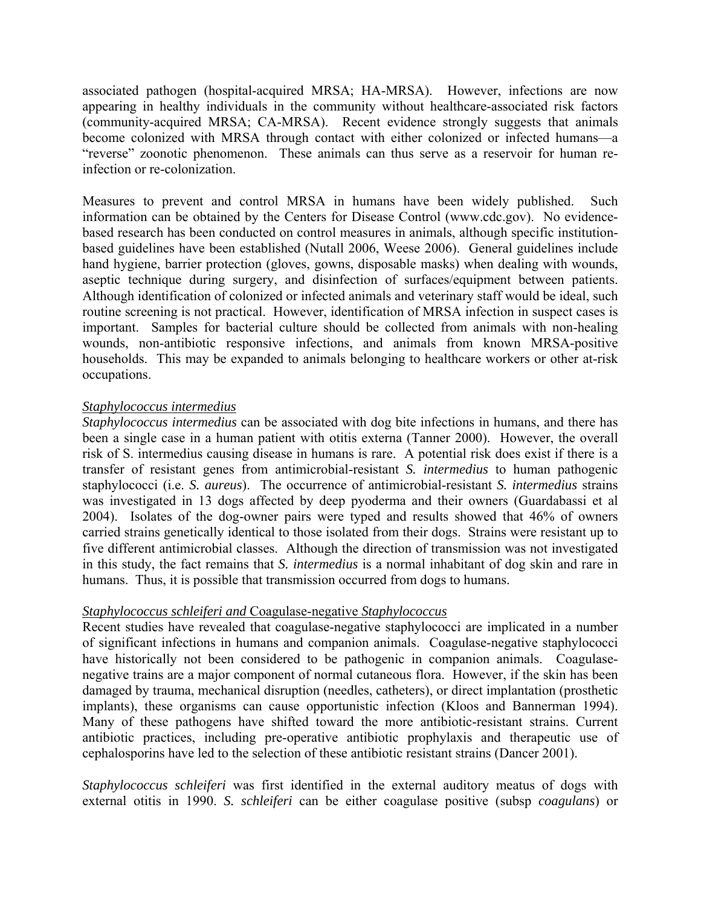associated pathogen (hospital-acquired MRSA; HA-MRSA). However, infections are now appearing in healthy individuals in the community without healthcare-associated risk factors (community-acquired MRSA; CA-MRSA). Recent evidence strongly suggests that animals become colonized with MRSA through contact with either colonized or infected humans—a "reverse" zoonotic phenomenon. These animals can thus serve as a reservoir for human reinfection or re-colonization.

Measures to prevent and control MRSA in humans have been widely published. Such information can be obtained by the Centers for Disease Control (www.cdc.gov). No evidencebased research has been conducted on control measures in animals, although specific institutionbased guidelines have been established (Nutall 2006, Weese 2006). General guidelines include hand hygiene, barrier protection (gloves, gowns, disposable masks) when dealing with wounds, aseptic technique during surgery, and disinfection of surfaces/equipment between patients. Although identification of colonized or infected animals and veterinary staff would be ideal, such routine screening is not practical. However, identification of MRSA infection in suspect cases is important. Samples for bacterial culture should be collected from animals with non-healing wounds, non-antibiotic responsive infections, and animals from known MRSA-positive households. This may be expanded to animals belonging to healthcare workers or other at-risk occupations.

#### *Staphylococcus intermedius*

*Staphylococcus intermedius* can be associated with dog bite infections in humans, and there has been a single case in a human patient with otitis externa (Tanner 2000). However, the overall risk of S. intermedius causing disease in humans is rare. A potential risk does exist if there is a transfer of resistant genes from antimicrobial-resistant *S. intermedius* to human pathogenic staphylococci (i.e. *S. aureus*). The occurrence of antimicrobial-resistant *S. intermedius* strains was investigated in 13 dogs affected by deep pyoderma and their owners (Guardabassi et al 2004). Isolates of the dog-owner pairs were typed and results showed that 46% of owners carried strains genetically identical to those isolated from their dogs. Strains were resistant up to five different antimicrobial classes. Although the direction of transmission was not investigated in this study, the fact remains that *S. intermedius* is a normal inhabitant of dog skin and rare in humans. Thus, it is possible that transmission occurred from dogs to humans.

#### *Staphylococcus schleiferi and* Coagulase-negative *Staphylococcus*

Recent studies have revealed that coagulase-negative staphylococci are implicated in a number of significant infections in humans and companion animals. Coagulase-negative staphylococci have historically not been considered to be pathogenic in companion animals. Coagulasenegative trains are a major component of normal cutaneous flora. However, if the skin has been damaged by trauma, mechanical disruption (needles, catheters), or direct implantation (prosthetic implants), these organisms can cause opportunistic infection (Kloos and Bannerman 1994). Many of these pathogens have shifted toward the more antibiotic-resistant strains. Current antibiotic practices, including pre-operative antibiotic prophylaxis and therapeutic use of cephalosporins have led to the selection of these antibiotic resistant strains (Dancer 2001).

*Staphylococcus schleiferi* was first identified in the external auditory meatus of dogs with external otitis in 1990. *S. schleiferi* can be either coagulase positive (subsp *coagulans*) or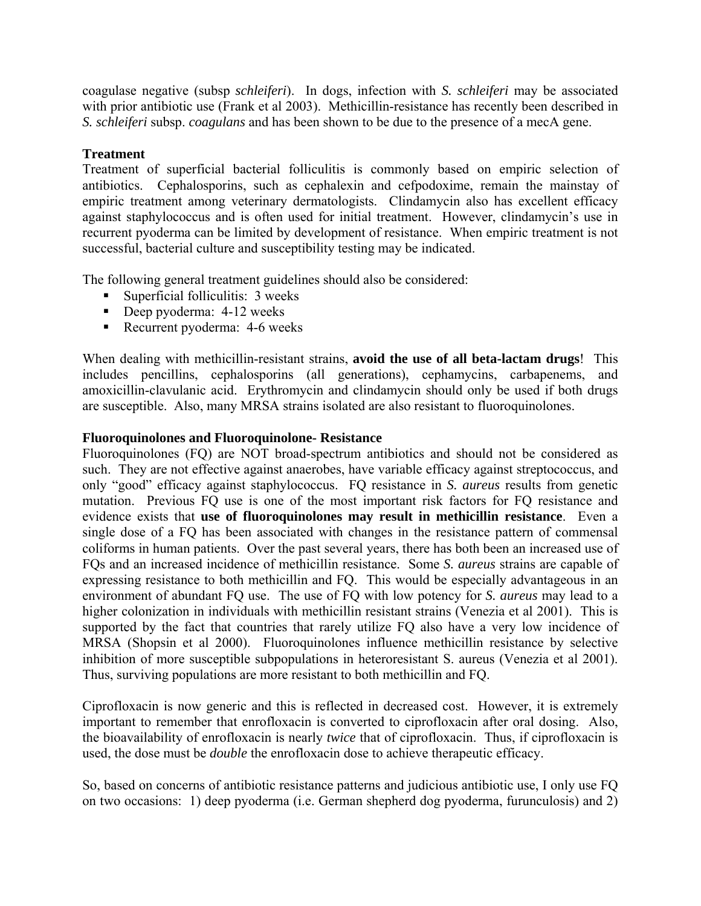coagulase negative (subsp *schleiferi*). In dogs, infection with *S. schleiferi* may be associated with prior antibiotic use (Frank et al 2003). Methicillin-resistance has recently been described in *S. schleiferi* subsp. *coagulans* and has been shown to be due to the presence of a mecA gene.

### **Treatment**

Treatment of superficial bacterial folliculitis is commonly based on empiric selection of antibiotics. Cephalosporins, such as cephalexin and cefpodoxime, remain the mainstay of empiric treatment among veterinary dermatologists. Clindamycin also has excellent efficacy against staphylococcus and is often used for initial treatment. However, clindamycin's use in recurrent pyoderma can be limited by development of resistance. When empiric treatment is not successful, bacterial culture and susceptibility testing may be indicated.

The following general treatment guidelines should also be considered:

- Superficial folliculitis: 3 weeks
- Deep pyoderma: 4-12 weeks
- Recurrent pyoderma: 4-6 weeks

When dealing with methicillin-resistant strains, **avoid the use of all beta-lactam drugs**! This includes pencillins, cephalosporins (all generations), cephamycins, carbapenems, and amoxicillin-clavulanic acid. Erythromycin and clindamycin should only be used if both drugs are susceptible. Also, many MRSA strains isolated are also resistant to fluoroquinolones.

### **Fluoroquinolones and Fluoroquinolone- Resistance**

Fluoroquinolones (FQ) are NOT broad-spectrum antibiotics and should not be considered as such. They are not effective against anaerobes, have variable efficacy against streptococcus, and only "good" efficacy against staphylococcus. FQ resistance in *S. aureus* results from genetic mutation. Previous FQ use is one of the most important risk factors for FQ resistance and evidence exists that **use of fluoroquinolones may result in methicillin resistance**. Even a single dose of a FQ has been associated with changes in the resistance pattern of commensal coliforms in human patients. Over the past several years, there has both been an increased use of FQs and an increased incidence of methicillin resistance. Some *S. aureus* strains are capable of expressing resistance to both methicillin and FQ. This would be especially advantageous in an environment of abundant FQ use. The use of FQ with low potency for *S. aureus* may lead to a higher colonization in individuals with methicillin resistant strains (Venezia et al 2001). This is supported by the fact that countries that rarely utilize FQ also have a very low incidence of MRSA (Shopsin et al 2000). Fluoroquinolones influence methicillin resistance by selective inhibition of more susceptible subpopulations in heteroresistant S. aureus (Venezia et al 2001). Thus, surviving populations are more resistant to both methicillin and FQ.

Ciprofloxacin is now generic and this is reflected in decreased cost. However, it is extremely important to remember that enrofloxacin is converted to ciprofloxacin after oral dosing. Also, the bioavailability of enrofloxacin is nearly *twice* that of ciprofloxacin. Thus, if ciprofloxacin is used, the dose must be *double* the enrofloxacin dose to achieve therapeutic efficacy.

So, based on concerns of antibiotic resistance patterns and judicious antibiotic use, I only use FQ on two occasions: 1) deep pyoderma (i.e. German shepherd dog pyoderma, furunculosis) and 2)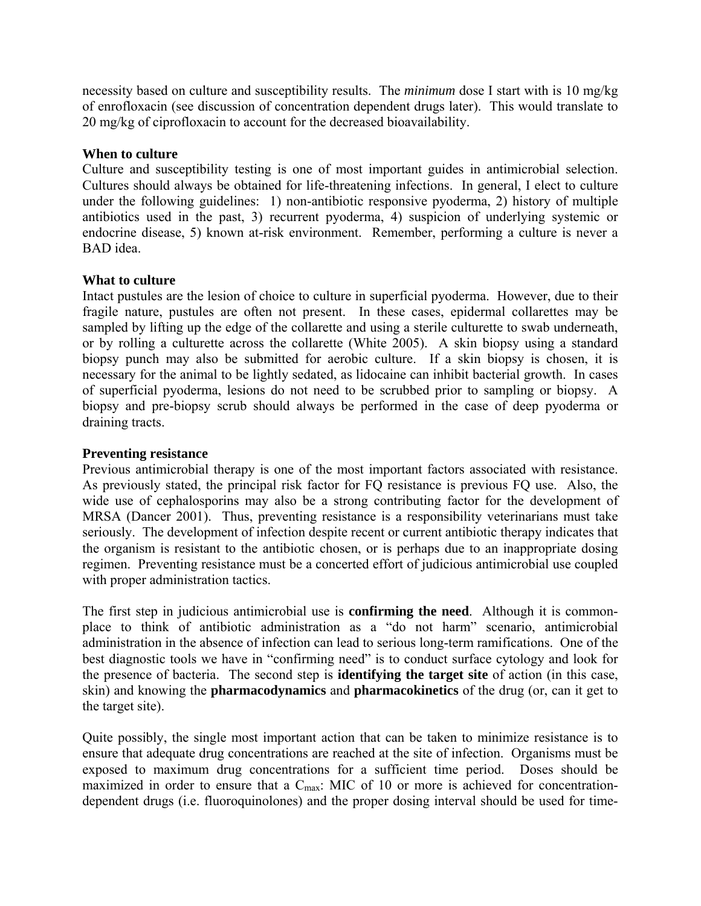necessity based on culture and susceptibility results. The *minimum* dose I start with is 10 mg/kg of enrofloxacin (see discussion of concentration dependent drugs later). This would translate to 20 mg/kg of ciprofloxacin to account for the decreased bioavailability.

### **When to culture**

Culture and susceptibility testing is one of most important guides in antimicrobial selection. Cultures should always be obtained for life-threatening infections. In general, I elect to culture under the following guidelines: 1) non-antibiotic responsive pyoderma, 2) history of multiple antibiotics used in the past, 3) recurrent pyoderma, 4) suspicion of underlying systemic or endocrine disease, 5) known at-risk environment. Remember, performing a culture is never a BAD idea.

### **What to culture**

Intact pustules are the lesion of choice to culture in superficial pyoderma. However, due to their fragile nature, pustules are often not present. In these cases, epidermal collarettes may be sampled by lifting up the edge of the collarette and using a sterile culturette to swab underneath, or by rolling a culturette across the collarette (White 2005). A skin biopsy using a standard biopsy punch may also be submitted for aerobic culture. If a skin biopsy is chosen, it is necessary for the animal to be lightly sedated, as lidocaine can inhibit bacterial growth. In cases of superficial pyoderma, lesions do not need to be scrubbed prior to sampling or biopsy. A biopsy and pre-biopsy scrub should always be performed in the case of deep pyoderma or draining tracts.

#### **Preventing resistance**

Previous antimicrobial therapy is one of the most important factors associated with resistance. As previously stated, the principal risk factor for FQ resistance is previous FQ use. Also, the wide use of cephalosporins may also be a strong contributing factor for the development of MRSA (Dancer 2001). Thus, preventing resistance is a responsibility veterinarians must take seriously. The development of infection despite recent or current antibiotic therapy indicates that the organism is resistant to the antibiotic chosen, or is perhaps due to an inappropriate dosing regimen. Preventing resistance must be a concerted effort of judicious antimicrobial use coupled with proper administration tactics.

The first step in judicious antimicrobial use is **confirming the need**. Although it is commonplace to think of antibiotic administration as a "do not harm" scenario, antimicrobial administration in the absence of infection can lead to serious long-term ramifications. One of the best diagnostic tools we have in "confirming need" is to conduct surface cytology and look for the presence of bacteria. The second step is **identifying the target site** of action (in this case, skin) and knowing the **pharmacodynamics** and **pharmacokinetics** of the drug (or, can it get to the target site).

Quite possibly, the single most important action that can be taken to minimize resistance is to ensure that adequate drug concentrations are reached at the site of infection. Organisms must be exposed to maximum drug concentrations for a sufficient time period. Doses should be maximized in order to ensure that a  $C_{\text{max}}$ : MIC of 10 or more is achieved for concentrationdependent drugs (i.e. fluoroquinolones) and the proper dosing interval should be used for time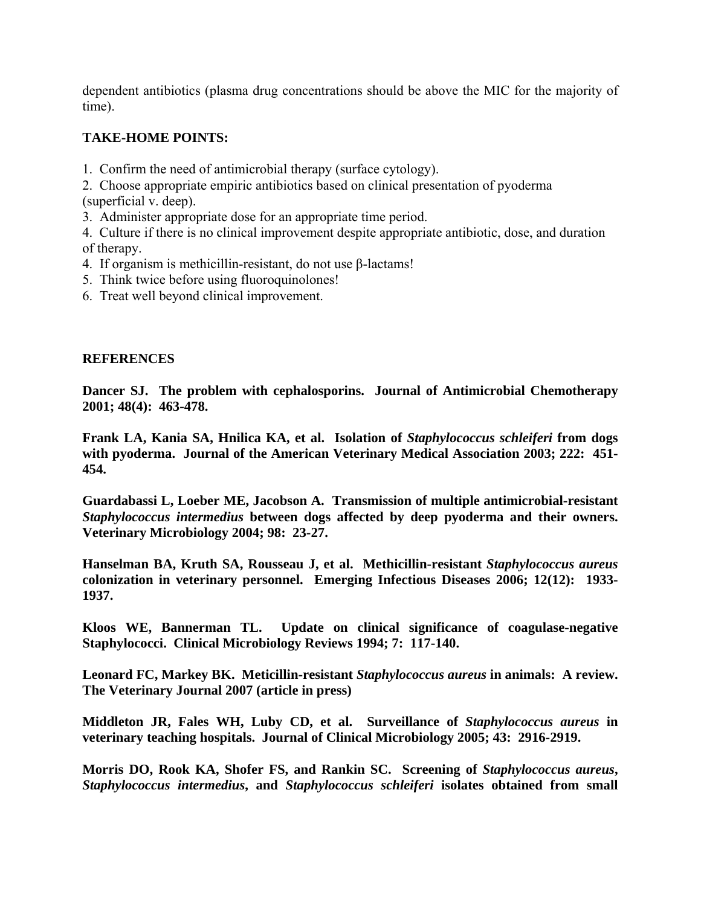dependent antibiotics (plasma drug concentrations should be above the MIC for the majority of time).

## **TAKE-HOME POINTS:**

1. Confirm the need of antimicrobial therapy (surface cytology).

2. Choose appropriate empiric antibiotics based on clinical presentation of pyoderma (superficial v. deep).

3. Administer appropriate dose for an appropriate time period.

4. Culture if there is no clinical improvement despite appropriate antibiotic, dose, and duration of therapy.

- 4. If organism is methicillin-resistant, do not use β-lactams!
- 5. Think twice before using fluoroquinolones!
- 6. Treat well beyond clinical improvement.

### **REFERENCES**

**Dancer SJ. The problem with cephalosporins. Journal of Antimicrobial Chemotherapy 2001; 48(4): 463-478.** 

**Frank LA, Kania SA, Hnilica KA, et al. Isolation of** *Staphylococcus schleiferi* **from dogs with pyoderma. Journal of the American Veterinary Medical Association 2003; 222: 451- 454.** 

**Guardabassi L, Loeber ME, Jacobson A. Transmission of multiple antimicrobial-resistant**  *Staphylococcus intermedius* **between dogs affected by deep pyoderma and their owners. Veterinary Microbiology 2004; 98: 23-27.** 

**Hanselman BA, Kruth SA, Rousseau J, et al. Methicillin-resistant** *Staphylococcus aureus* **colonization in veterinary personnel. Emerging Infectious Diseases 2006; 12(12): 1933- 1937.** 

**Kloos WE, Bannerman TL. Update on clinical significance of coagulase-negative Staphylococci. Clinical Microbiology Reviews 1994; 7: 117-140.** 

**Leonard FC, Markey BK. Meticillin-resistant** *Staphylococcus aureus* **in animals: A review. The Veterinary Journal 2007 (article in press)** 

**Middleton JR, Fales WH, Luby CD, et al. Surveillance of** *Staphylococcus aureus* **in veterinary teaching hospitals. Journal of Clinical Microbiology 2005; 43: 2916-2919.** 

**Morris DO, Rook KA, Shofer FS, and Rankin SC. Screening of** *Staphylococcus aureus***,**  *Staphylococcus intermedius***, and** *Staphylococcus schleiferi* **isolates obtained from small**